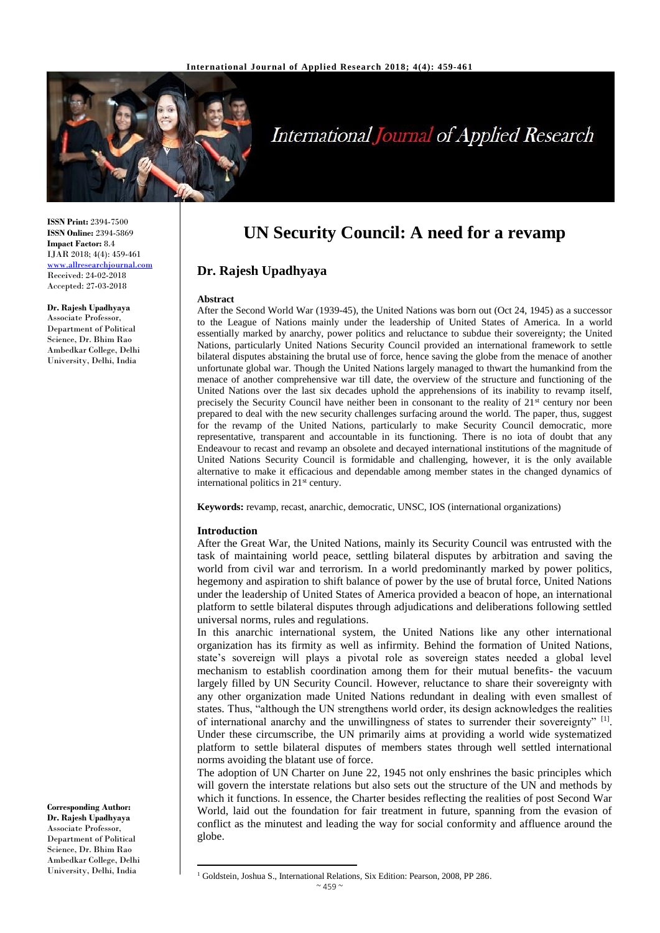

# **International Journal of Applied Research**

**ISSN Print:** 2394-7500 **ISSN Online:** 2394-5869 **Impact Factor:** 8.4 IJAR 2018; 4(4): 459-461 <www.allresearchjournal.com> Received: 24-02-2018 Accepted: 27-03-2018

**Dr. Rajesh Upadhyaya** Associate Professor, Department of Political Science, Dr. Bhim Rao Ambedkar College, Delhi University, Delhi, India

**Corresponding Author: Dr. Rajesh Upadhyaya** Associate Professor, Department of Political Science, Dr. Bhim Rao Ambedkar College, Delhi University, Delhi, India

## **UN Security Council: A need for a revamp**

## **Dr. Rajesh Upadhyaya**

#### **Abstract**

After the Second World War (1939-45), the United Nations was born out (Oct 24, 1945) as a successor to the League of Nations mainly under the leadership of United States of America. In a world essentially marked by anarchy, power politics and reluctance to subdue their sovereignty; the United Nations, particularly United Nations Security Council provided an international framework to settle bilateral disputes abstaining the brutal use of force, hence saving the globe from the menace of another unfortunate global war. Though the United Nations largely managed to thwart the humankind from the menace of another comprehensive war till date, the overview of the structure and functioning of the United Nations over the last six decades uphold the apprehensions of its inability to revamp itself, precisely the Security Council have neither been in consonant to the reality of 21<sup>st</sup> century nor been prepared to deal with the new security challenges surfacing around the world. The paper, thus, suggest for the revamp of the United Nations, particularly to make Security Council democratic, more representative, transparent and accountable in its functioning. There is no iota of doubt that any Endeavour to recast and revamp an obsolete and decayed international institutions of the magnitude of United Nations Security Council is formidable and challenging, however, it is the only available alternative to make it efficacious and dependable among member states in the changed dynamics of international politics in 21<sup>st</sup> century.

**Keywords:** revamp, recast, anarchic, democratic, UNSC, IOS (international organizations)

#### **Introduction**

 $\overline{a}$ 

After the Great War, the United Nations, mainly its Security Council was entrusted with the task of maintaining world peace, settling bilateral disputes by arbitration and saving the world from civil war and terrorism. In a world predominantly marked by power politics, hegemony and aspiration to shift balance of power by the use of brutal force, United Nations under the leadership of United States of America provided a beacon of hope, an international platform to settle bilateral disputes through adjudications and deliberations following settled universal norms, rules and regulations.

In this anarchic international system, the United Nations like any other international organization has its firmity as well as infirmity. Behind the formation of United Nations, state's sovereign will plays a pivotal role as sovereign states needed a global level mechanism to establish coordination among them for their mutual benefits- the vacuum largely filled by UN Security Council. However, reluctance to share their sovereignty with any other organization made United Nations redundant in dealing with even smallest of states. Thus, "although the UN strengthens world order, its design acknowledges the realities of international anarchy and the unwillingness of states to surrender their sovereignty" [1]. Under these circumscribe, the UN primarily aims at providing a world wide systematized platform to settle bilateral disputes of members states through well settled international norms avoiding the blatant use of force.

The adoption of UN Charter on June 22, 1945 not only enshrines the basic principles which will govern the interstate relations but also sets out the structure of the UN and methods by which it functions. In essence, the Charter besides reflecting the realities of post Second War World, laid out the foundation for fair treatment in future, spanning from the evasion of conflict as the minutest and leading the way for social conformity and affluence around the globe.

<sup>&</sup>lt;sup>1</sup> Goldstein, Joshua S., International Relations, Six Edition: Pearson, 2008, PP 286.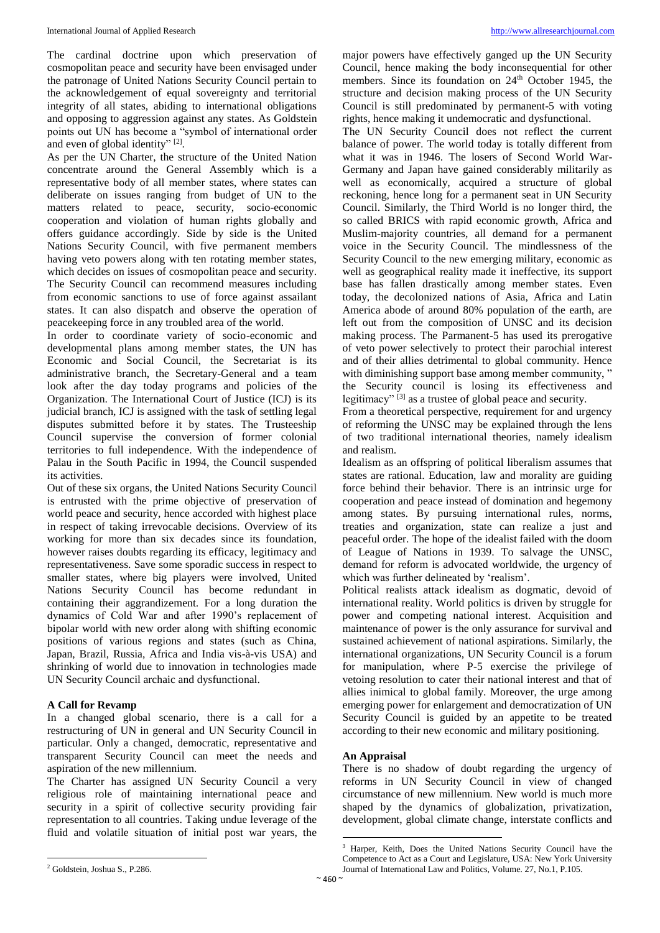The cardinal doctrine upon which preservation of cosmopolitan peace and security have been envisaged under the patronage of United Nations Security Council pertain to the acknowledgement of equal sovereignty and territorial integrity of all states, abiding to international obligations and opposing to aggression against any states. As Goldstein points out UN has become a "symbol of international order and even of global identity"<sup>[2]</sup>.

As per the UN Charter, the structure of the United Nation concentrate around the General Assembly which is a representative body of all member states, where states can deliberate on issues ranging from budget of UN to the matters related to peace, security, socio-economic cooperation and violation of human rights globally and offers guidance accordingly. Side by side is the United Nations Security Council, with five permanent members having veto powers along with ten rotating member states, which decides on issues of cosmopolitan peace and security. The Security Council can recommend measures including from economic sanctions to use of force against assailant states. It can also dispatch and observe the operation of peacekeeping force in any troubled area of the world.

In order to coordinate variety of socio-economic and developmental plans among member states, the UN has Economic and Social Council, the Secretariat is its administrative branch, the Secretary-General and a team look after the day today programs and policies of the Organization. The International Court of Justice (ICJ) is its judicial branch, ICJ is assigned with the task of settling legal disputes submitted before it by states. The Trusteeship Council supervise the conversion of former colonial territories to full independence. With the independence of Palau in the South Pacific in 1994, the Council suspended its activities.

Out of these six organs, the United Nations Security Council is entrusted with the prime objective of preservation of world peace and security, hence accorded with highest place in respect of taking irrevocable decisions. Overview of its working for more than six decades since its foundation, however raises doubts regarding its efficacy, legitimacy and representativeness. Save some sporadic success in respect to smaller states, where big players were involved, United Nations Security Council has become redundant in containing their aggrandizement. For a long duration the dynamics of Cold War and after 1990's replacement of bipolar world with new order along with shifting economic positions of various regions and states (such as China, Japan, Brazil, Russia, Africa and India vis-à-vis USA) and shrinking of world due to innovation in technologies made UN Security Council archaic and dysfunctional.

## **A Call for Revamp**

In a changed global scenario, there is a call for a restructuring of UN in general and UN Security Council in particular. Only a changed, democratic, representative and transparent Security Council can meet the needs and aspiration of the new millennium.

The Charter has assigned UN Security Council a very religious role of maintaining international peace and security in a spirit of collective security providing fair representation to all countries. Taking undue leverage of the fluid and volatile situation of initial post war years, the major powers have effectively ganged up the UN Security Council, hence making the body inconsequential for other members. Since its foundation on 24<sup>th</sup> October 1945, the structure and decision making process of the UN Security Council is still predominated by permanent-5 with voting rights, hence making it undemocratic and dysfunctional.

The UN Security Council does not reflect the current balance of power. The world today is totally different from what it was in 1946. The losers of Second World War-Germany and Japan have gained considerably militarily as well as economically, acquired a structure of global reckoning, hence long for a permanent seat in UN Security Council. Similarly, the Third World is no longer third, the so called BRICS with rapid economic growth, Africa and Muslim-majority countries, all demand for a permanent voice in the Security Council. The mindlessness of the Security Council to the new emerging military, economic as well as geographical reality made it ineffective, its support base has fallen drastically among member states. Even today, the decolonized nations of Asia, Africa and Latin America abode of around 80% population of the earth, are left out from the composition of UNSC and its decision making process. The Parmanent-5 has used its prerogative of veto power selectively to protect their parochial interest and of their allies detrimental to global community. Hence with diminishing support base among member community, " the Security council is losing its effectiveness and legitimacy"<sup>[3]</sup> as a trustee of global peace and security.

From a theoretical perspective, requirement for and urgency of reforming the UNSC may be explained through the lens of two traditional international theories, namely idealism and realism.

Idealism as an offspring of political liberalism assumes that states are rational. Education, law and morality are guiding force behind their behavior. There is an intrinsic urge for cooperation and peace instead of domination and hegemony among states. By pursuing international rules, norms, treaties and organization, state can realize a just and peaceful order. The hope of the idealist failed with the doom of League of Nations in 1939. To salvage the UNSC, demand for reform is advocated worldwide, the urgency of which was further delineated by 'realism'.

Political realists attack idealism as dogmatic, devoid of international reality. World politics is driven by struggle for power and competing national interest. Acquisition and maintenance of power is the only assurance for survival and sustained achievement of national aspirations. Similarly, the international organizations, UN Security Council is a forum for manipulation, where P-5 exercise the privilege of vetoing resolution to cater their national interest and that of allies inimical to global family. Moreover, the urge among emerging power for enlargement and democratization of UN Security Council is guided by an appetite to be treated according to their new economic and military positioning.

## **An Appraisal**

There is no shadow of doubt regarding the urgency of reforms in UN Security Council in view of changed circumstance of new millennium. New world is much more shaped by the dynamics of globalization, privatization, development, global climate change, interstate conflicts and

 $\overline{a}$ 

 $\overline{a}$ <sup>2</sup> Goldstein, Joshua S., P.286.

<sup>&</sup>lt;sup>3</sup> Harper, Keith, Does the United Nations Security Council have the Competence to Act as a Court and Legislature, USA: New York University Journal of International Law and Politics, Volume. 27, No.1, P.105.